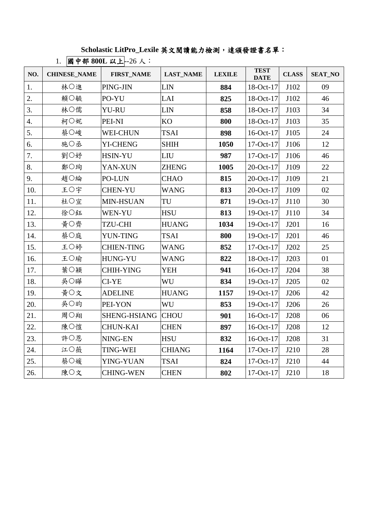## **Scholastic LitPro\_Lexile** 英文閱讀能力檢測,達頒發證書名單:

| $\frac{1}{2}$   20   20 00000 $\frac{1}{2}$ 20 / 2 |                     |                          |                  |               |                            |              |                |  |  |  |
|----------------------------------------------------|---------------------|--------------------------|------------------|---------------|----------------------------|--------------|----------------|--|--|--|
| NO.                                                | <b>CHINESE_NAME</b> | <b>FIRST_NAME</b>        | <b>LAST_NAME</b> | <b>LEXILE</b> | <b>TEST</b><br><b>DATE</b> | <b>CLASS</b> | <b>SEAT_NO</b> |  |  |  |
| 1.                                                 | 林○進                 | PING-JIN                 | <b>LIN</b>       | 884           | 18-Oct-17                  | J102         | 09             |  |  |  |
| 2.                                                 | 賴○毓                 | PO-YU                    | LAI              | 825           | 18-Oct-17                  | J102         | 46             |  |  |  |
| 3.                                                 | 林○儒                 | <b>YU-RU</b>             | LIN              | 858           | $18$ -Oct-17               | J103         | 34             |  |  |  |
| $\overline{4}$ .                                   | 柯○妮                 | PEI-NI                   | KO               | 800           | 18-Oct-17                  | J103         | 35             |  |  |  |
| 5.                                                 | 蔡○峻                 | <b>WEI-CHUN</b>          | <b>TSAI</b>      | 898           | $16$ -Oct-17               | J105         | 24             |  |  |  |
| 6.                                                 | 施○丞                 | <b>YI-CHENG</b>          | <b>SHIH</b>      | 1050          | 17-Oct-17                  | J106         | 12             |  |  |  |
| 7.                                                 | 劉○妤                 | HSIN-YU                  | LIU              | 987           | 17-Oct-17                  | J106         | 46             |  |  |  |
| 8.                                                 | 鄭○珣                 | YAN-XUN                  | <b>ZHENG</b>     | 1005          | $20$ -Oct-17               | J109         | 22             |  |  |  |
| 9.                                                 | 趙○綸                 | PO-LUN                   | <b>CHAO</b>      | 815           | 20-Oct-17                  | J109         | 21             |  |  |  |
| 10.                                                | 王〇宇                 | <b>CHEN-YU</b>           | <b>WANG</b>      | 813           | $20$ -Oct-17               | J109         | 02             |  |  |  |
| 11.                                                | 杜〇宣                 | MIN-HSUAN                | TU               | 871           | 19-Oct-17                  | J110         | 30             |  |  |  |
| 12.                                                | 徐○鈺                 | WEN-YU                   | <b>HSU</b>       | 813           | 19-Oct-17                  | J110         | 34             |  |  |  |
| 13.                                                | 黃○齊                 | <b>TZU-CHI</b>           | <b>HUANG</b>     | 1034          | 19-Oct-17                  | J201         | 16             |  |  |  |
| 14.                                                | 蔡○庭                 | <b>YUN-TING</b>          | <b>TSAI</b>      | 800           | $19-Oct-17$                | J201         | 46             |  |  |  |
| 15.                                                | 王〇婷                 | <b>CHIEN-TING</b>        | <b>WANG</b>      | 852           | $17$ -Oct- $17$            | J202         | 25             |  |  |  |
| 16.                                                | 王〇瑜                 | <b>HUNG-YU</b>           | <b>WANG</b>      | 822           | 18-Oct-17                  | J203         | 01             |  |  |  |
| 17.                                                | 葉○穎                 | <b>CHIH-YING</b>         | <b>YEH</b>       | 941           | 16-Oct-17                  | J204         | 38             |  |  |  |
| 18.                                                | 吳○曄                 | CI-YE                    | WU               | 834           | 19-Oct-17                  | J205         | 02             |  |  |  |
| 19.                                                | 黄○文                 | <b>ADELINE</b>           | <b>HUANG</b>     | 1157          | 19-Oct-17                  | J206         | 42             |  |  |  |
| 20.                                                | 吳○昀                 | PEI-YON                  | WU               | 853           | 19-Oct-17                  | J206         | 26             |  |  |  |
| 21.                                                | 周○翔                 | <b>SHENG-HSIANG CHOU</b> |                  | 901           | 16-Oct-17                  | J208         | 06             |  |  |  |
| 22.                                                | 陳○愷                 | <b>CHUN-KAI</b>          | <b>CHEN</b>      | 897           | $16-Oct-17$                | J208         | 12             |  |  |  |
| 23.                                                | 許○恩                 | NING-EN                  | <b>HSU</b>       | 832           | 16-Oct-17                  | J208         | 31             |  |  |  |
| 24.                                                | 江○薇                 | <b>TING-WEI</b>          | <b>CHIANG</b>    | 1164          | 17-Oct-17                  | J210         | 28             |  |  |  |
| 25.                                                | 蔡○媛                 | YING-YUAN                | <b>TSAI</b>      | 824           | 17-Oct-17                  | J210         | 44             |  |  |  |
| 26.                                                | 陳○文                 | <b>CHING-WEN</b>         | <b>CHEN</b>      | 802           | $17-Oct-17$                | J210         | 18             |  |  |  |

1. 國中部 **800L** 以上--26 人: